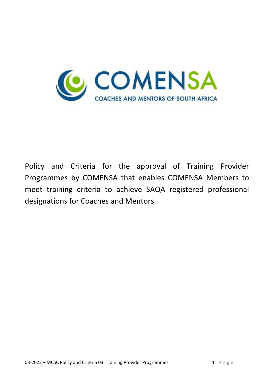

Policy and Criteria for the approval of Training Provider Programmes by COMENSA that enables COMENSA Members to meet training criteria to achieve SAQA registered professional designations for Coaches and Mentors.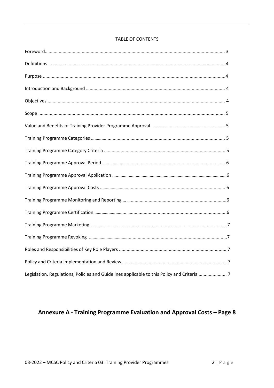| <b>TABLE OF CONTENTS</b> |  |  |
|--------------------------|--|--|
|                          |  |  |

| Legislation, Regulations, Policies and Guidelines applicable to this Policy and Criteria  7 |
|---------------------------------------------------------------------------------------------|

# Annexure A - Training Programme Evaluation and Approval Costs - Page 8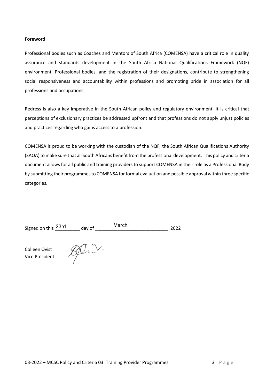## **Foreword**

Professional bodies such as Coaches and Mentors of South Africa (COMENSA) have a critical role in quality assurance and standards development in the South Africa National Qualifications Framework (NQF) environment. Professional bodies, and the registration of their designations, contribute to strengthening social responsiveness and accountability within professions and promoting pride in association for all professions and occupations.

Redress is also a key imperative in the South African policy and regulatory environment. It is critical that perceptions of exclusionary practices be addressed upfront and that professions do not apply unjust policies and practices regarding who gains access to a profession.

COMENSA is proud to be working with the custodian of the NQF, the South African Qualifications Authority (SAQA) to make sure that all South Africans benefit from the professional development. This policy and criteria document allows for all public and training providers to support COMENSA in their role as a Professional Body by submitting their programmes to COMENSA for formal evaluation and possible approval within three specific categories.

| Signed on this 23rd | dav of | March | 2022 |
|---------------------|--------|-------|------|
|---------------------|--------|-------|------|

Colleen Qvist Vice President

JOL.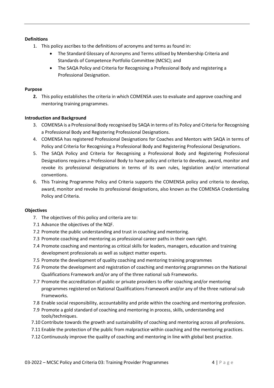## **Definitions**

- 1. This policy ascribes to the definitions of acronyms and terms as found in:
	- The Standard Glossary of Acronyms and Terms utilised by Membership Criteria and Standards of Competence Portfolio Committee (MCSC); and
	- The SAQA Policy and Criteria for Recognising a Professional Body and registering a Professional Designation.

## **Purpose**

**2.** This policy establishes the criteria in which COMENSA uses to evaluate and approve coaching and mentoring training programmes.

## **Introduction and Background**

- 3. COMENSA is a Professional Body recognised by SAQA in terms of its Policy and Criteria for Recognising a Professional Body and Registering Professional Designations.
- 4. COMENSA has registered Professional Designations for Coaches and Mentors with SAQA in terms of Policy and Criteria for Recognising a Professional Body and Registering Professional Designations.
- 5. The SAQA Policy and Criteria for Recognising a Professional Body and Registering Professional Designations requires a Professional Body to have policy and criteria to develop, award, monitor and revoke its professional designations in terms of its own rules, legislation and/or international conventions.
- 6. This Training Programme Policy and Criteria supports the COMENSA policy and criteria to develop, award, monitor and revoke its professional designations, also known as the COMENSA Credentialing Policy and Criteria.

## **Objectives**

- 7. The objectives of this policy and criteria are to:
- 7.1 Advance the objectives of the NQF.
- 7.2 Promote the public understanding and trust in coaching and mentoring.
- 7.3 Promote coaching and mentoring as professional career paths in their own right.
- 7.4 Promote coaching and mentoring as critical skills for leaders, managers, education and training development professionals as well as subject matter experts.
- 7.5 Promote the development of quality coaching and mentoring training programmes
- 7.6 Promote the development and registration of coaching and mentoring programmes on the National Qualifications Framework and/or any of the three national sub Frameworks.
- 7.7 Promote the accreditation of public or private providers to offer coaching and/or mentoring programmes registered on National Qualifications Framework and/or any of the three national sub Frameworks.
- 7.8 Enable social responsibility, accountability and pride within the coaching and mentoring profession.
- 7.9 Promote a gold standard of coaching and mentoring in process, skills, understanding and tools/techniques.
- 7.10 Contribute towards the growth and sustainability of coaching and mentoring across all professions.
- 7.11 Enable the protection of the public from malpractice within coaching and the mentoring practices.
- 7.12 Continuously improve the quality of coaching and mentoring in line with global best practice.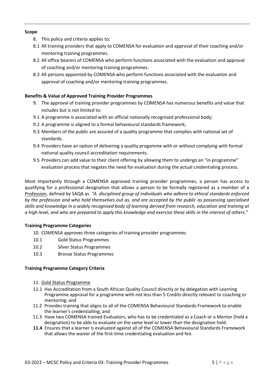## **Scope**

- 8. This policy and criteria applies to:
- 8.1 All training providers that apply to COMENSA for evaluation and approval of their coaching and/or mentoring training programmes.
- 8.2 All office bearers of COMENSA who perform functions associated with the evaluation and approval of coaching and/or mentoring training programmes.
- 8.3 All persons appointed by COMENSA who perform functions associated with the evaluation and approval of coaching and/or mentoring training programmes.

## **Benefits & Value of Approved Training Provider Programmes**

- 9. The approval of training provider programmes by COMENSA has numerous benefits and value that includes but is not limited to:
- 9.1 A programme is associated with an official nationally recognised professional body;
- 9.2 A programme is aligned to a formal behavioural standards framework;
- 9.3 Members of the public are assured of a quality programme that complies with national set of standards.
- 9.4 Providers have an option of delivering a quality progamme with or without complying with formal national quality council accreditation requirements.
- 9.5 Providers can add value to their client offering by allowing them to undergo an "in-programme" evaluation process that negates the need for evaluation during the actual credentialing process.

Most importantly through a COMENSA approved training provider programmes, a person has access to qualifying for a professional designation that allows a person to be formally registered as a member of a Profession, defined by SAQA as *"A disciplined group of individuals who adhere to ethical standards enforced by the profession and who hold themselves out as, and are accepted by the public as possessing specialised skills and knowledge in a widely recognised body of learning derived from research, education and training at a high level, and who are prepared to apply this knowledge and exercise these skills in the interest of others."* 

## **Training Programme Categories**

- 10. COMENSA approves three categories of training provider programmes
- 10.1 Gold Status Programmes
- 10.2 Silver Status Programmes
- 10.3 Bronze Status Programmes

## **Training Programme Category Criteria**

- 11. Gold Status Programme
- 11.1 Has Accreditation from a South African Quality Council directly or by delegation with Learning Programme approval for a programme with not less than 5 Credits directly relevant to coaching or mentoring; and
- 11.2 Provides training that aligns to all of the COMENSA Behavioural Standards Framework to enable the learner's credentialling; and
- 11.3 Have two COMENSA trained Evaluators, who has to be credentialed as a Coach or a Mentor (hold a designation) to be able to evaluate on the same level or lower than the designation held.
- **11.4** Ensures that a learner is evaluated against all of the COMENSA Behavioural Standards Framework that allows the waiver of the first-time credentialing evaluation and fee.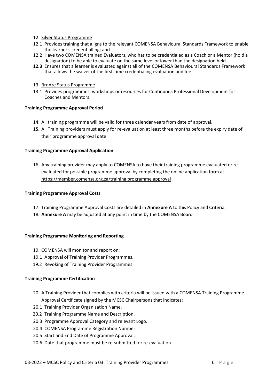- 12. Silver Status Programme
- 12.1 Provides training that aligns to the relevant COMENSA Behavioural Standards Framework to enable the learner's credentialling; and
- 12.2 Have two COMENSA trained Evaluators, who has to be credentialed as a Coach or a Mentor (hold a designation) to be able to evaluate on the same level or lower than the designation held.
- **12.3** Ensures that a learner is evaluated against all of the COMENSA Behavioural Standards Framework that allows the waiver of the first-time credentialing evaluation and fee.
- 13. Bronze Status Programme
- 13.1 Provides programmes, workshops or resources for Continuous Professional Development for Coaches and Mentors.

#### **Training Programme Approval Period**

- 14. All training programme will be valid for three calendar years from date of approval.
- **15.** All Training providers must apply for re-evaluation at least three months before the expiry date of their programme approval date.

#### **Training Programme Approval Application**

16. Any training provider may apply to COMENSA to have their training programme evaluated or reevaluated for possible programme approval by completing the online application form at [https://member.comensa.org.za/training programme approval](https://member.comensa.org.za/training%20programme%20approval)

#### **Training Programme Approval Costs**

- 17. Training Programme Approval Costs are detailed in **Annexure A** to this Policy and Criteria.
- 18. **Annexure A** may be adjusted at any point in time by the COMENSA Board

#### **Training Programme Monitoring and Reporting**

- 19. COMENSA will monitor and report on:
- 19.1 Approval of Training Provider Programmes.
- 19.2 Revoking of Training Provider Programmes.

#### **Training Programme Certification**

- 20. A Training Provider that complies with criteria will be issued with a COMENSA Training Programme Approval Certificate signed by the MCSC Chairpersons that indicates:
- 20.1 Training Provider Organisation Name.
- 20.2 Training Programme Name and Description.
- 20.3 Programme Approval Category and relevant Logo.
- 20.4 COMENSA Programme Registration Number.
- 20.5 Start and End Date of Programme Approval.
- 20.6 Date that programme must be re-submitted for re-evaluation.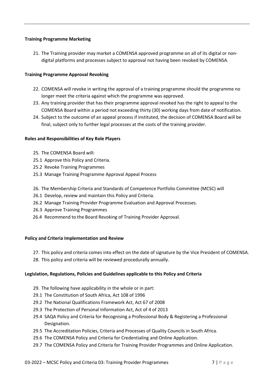## **Training Programme Marketing**

21. The Training provider may market a COMENSA approved programme on all of its digital or nondigital platforms and processes subject to approval not having been revoked by COMENSA.

## **Training Programme Approval Revoking**

- 22. COMENSA will revoke in writing the approval of a training programme should the programme no longer meet the criteria against which the programme was approved.
- 23. Any training provider that has their programme approval revoked has the right to appeal to the COMENSA Board within a period not exceeding thirty (30) working days from date of notification.
- 24. Subject to the outcome of an appeal process if instituted, the decision of COMENSA Board will be final, subject only to further legal processes at the costs of the training provider.

## **Roles and Responsibilities of Key Role Players**

- 25. The COMENSA Board will:
- 25.1 Approve this Policy and Criteria.
- 25.2 Revoke Training Programmes
- 25.3 Manage Training Programme Approval Appeal Process
- 26. The Membership Criteria and Standards of Competence Portfolio Committee (MCSC) will
- 26.1 Develop, review and maintain this Policy and Criteria.
- 26.2 Manage Training Provider Programme Evaluation and Approval Processes.
- 26.3 Approve Training Programmes
- 26.4 Recommend to the Board Revoking of Training Provider Approval.

## **Policy and Criteria Implementation and Review**

- 27. This policy and criteria comes into effect on the date of signature by the Vice President of COMENSA.
- 28. This policy and criteria will be reviewed procedurally annually.

## **Legislation, Regulations, Policies and Guidelines applicable to this Policy and Criteria**

- 29. The following have applicability in the whole or in part:
- 29.1 The Constitution of South Africa, Act 108 of 1996
- 29.2 The National Qualifications Framework Act, Act 67 of 2008
- 29.3 The Protection of Personal Information Act, Act of 4 of 2013
- 29.4 SAQA Policy and Criteria for Recognising a Professional Body & Registering a Professional Designation.
- 29.5 The Accreditation Policies, Criteria and Processes of Quality Councils in South Africa.
- 29.6 The COMENSA Policy and Criteria for Credentialing and Online Application.
- 29.7 The COMENSA Policy and Criteria for Training Provider Programmes and Online Application.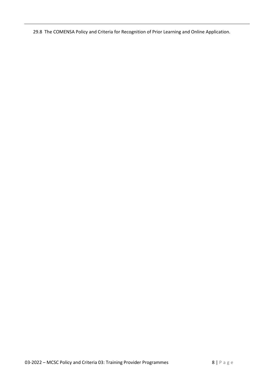29.8 The COMENSA Policy and Criteria for Recognition of Prior Learning and Online Application.